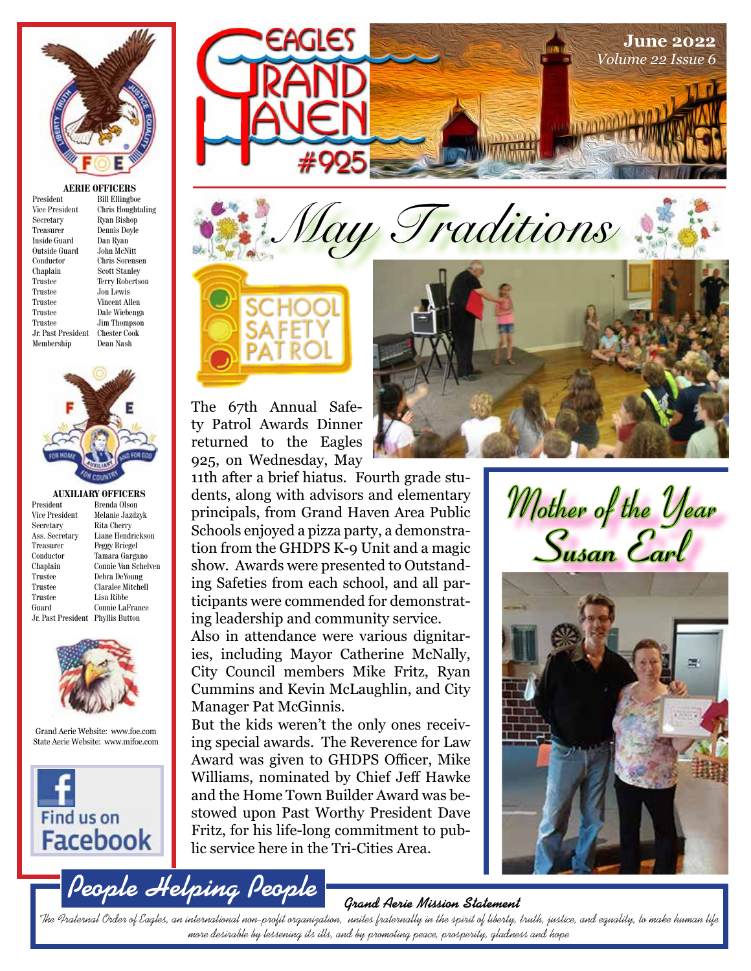

#### **AERIE OFFICERS**

President Bill Ellingboe Vice President Chris Houghtaling<br>Secretary Ryan Bishop Secretary Ryan Bishop<br>Treasurer Dennis Doyle Dennis Doyle<br>Dan Ryan Inside Guard Outside Guard John McNitt Conductor Chris Sorensen Chaplain Scott Stanley<br>Trustee Terry Roberts Trustee Jon Lewis Trustee Vincent Allen Trustee Dale Wiebenga Jr. Past President Chester Cook Membership



**AUXILIARY OFFICERS**<br>President Brenda Olson Vice President Melanie Jazdzyk<br>Secretary Rita Cherry Ass. Secretary Liane Hendrickson Treasurer Peggy Briegel Conductor Tamara Gargano Trustee Debra DeYoung Trustee Claralee Mitchell Trustee Lisa Ribbe Guard Connie LaFrance Jr. Past President Phyllis Button

Brenda Olson Rita Cherry Connie Van Schelven



Grand Aerie Website: www.foe.com State Aerie Website: www.mifoe.com



**People Helping People**





The 67th Annual Safety Patrol Awards Dinner returned to the Eagles 925, on Wednesday, May

11th after a brief hiatus. Fourth grade students, along with advisors and elementary principals, from Grand Haven Area Public Schools enjoyed a pizza party, a demonstration from the GHDPS K-9 Unit and a magic show. Awards were presented to Outstanding Safeties from each school, and all participants were commended for demonstrating leadership and community service.

Also in attendance were various dignitaries, including Mayor Catherine McNally, City Council members Mike Fritz, Ryan Cummins and Kevin McLaughlin, and City Manager Pat McGinnis.

But the kids weren't the only ones receiving special awards. The Reverence for Law Award was given to GHDPS Officer, Mike Williams, nominated by Chief Jeff Hawke and the Home Town Builder Award was bestowed upon Past Worthy President Dave Fritz, for his life-long commitment to public service here in the Tri-Cities Area.



Mother of the Year **Susan Earl**



**Grand Aerie Mission Statement**

The Fraternal Order of Eagles, an international non-profit organization, unites fraternally in the spirit of liberty, truth, justice, and equality, to make human life more desirable by lessening its ills, and by promoting peace, prosperity, gladness and hope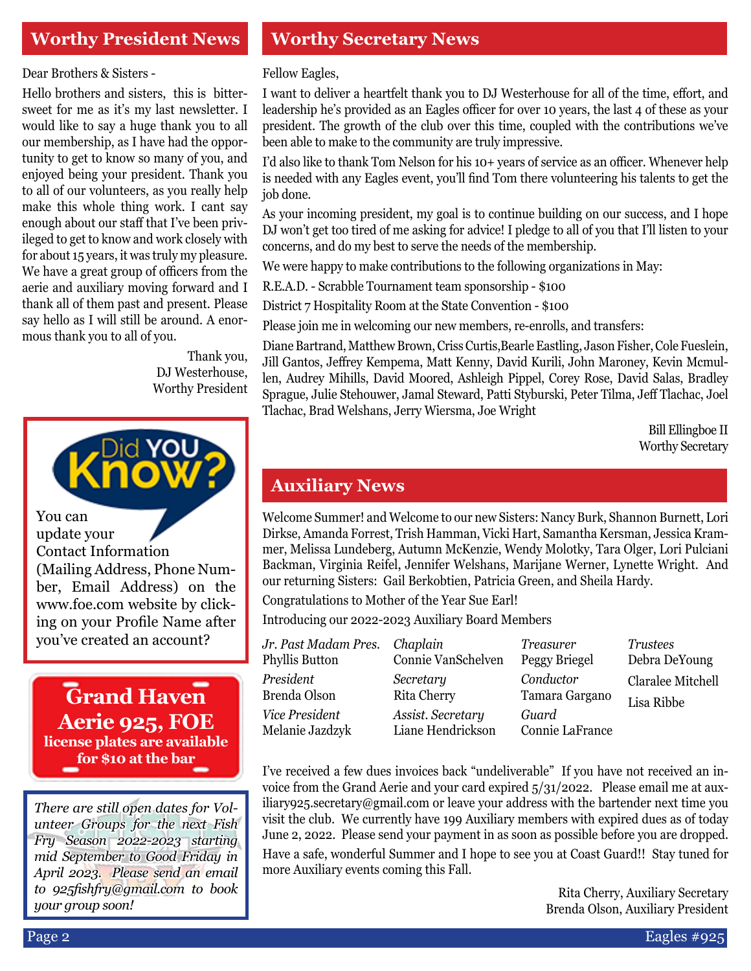### **Worthy President News**

Dear Brothers & Sisters -

Hello brothers and sisters, this is bittersweet for me as it's my last newsletter. I would like to say a huge thank you to all our membership, as I have had the opportunity to get to know so many of you, and enjoyed being your president. Thank you to all of our volunteers, as you really help make this whole thing work. I cant say enough about our staff that I've been privileged to get to know and work closely with for about 15 years, it was truly my pleasure. We have a great group of officers from the aerie and auxiliary moving forward and I thank all of them past and present. Please say hello as I will still be around. A enormous thank you to all of you.

> Thank you, DJ Westerhouse, Worthy President



You can update your Contact Information (Mailing Address, Phone Number, Email Address) on the www.foe.com website by clicking on your Profile Name after you've created an account? *Jr. Past Madam Pres.*

#### **Grand Haven Aerie 925, FOE license plates are available for \$10 at the bar**

*There are still open dates for Volunteer Groups for the next Fish Fry Season 2022-2023 starting mid September to Good Friday in April 2023. Please send an email to 925fishfry@gmail.com to book your group soon!*

#### **Worthy Secretary News**

Fellow Eagles,

I want to deliver a heartfelt thank you to DJ Westerhouse for all of the time, effort, and leadership he's provided as an Eagles officer for over 10 years, the last 4 of these as your president. The growth of the club over this time, coupled with the contributions we've been able to make to the community are truly impressive.

I'd also like to thank Tom Nelson for his 10+ years of service as an officer. Whenever help is needed with any Eagles event, you'll find Tom there volunteering his talents to get the job done.

As your incoming president, my goal is to continue building on our success, and I hope DJ won't get too tired of me asking for advice! I pledge to all of you that I'll listen to your concerns, and do my best to serve the needs of the membership.

We were happy to make contributions to the following organizations in May:

R.E.A.D. - Scrabble Tournament team sponsorship - \$100

District 7 Hospitality Room at the State Convention - \$100

Please join me in welcoming our new members, re-enrolls, and transfers:

Diane Bartrand, Matthew Brown, Criss Curtis,Bearle Eastling, Jason Fisher, Cole Fueslein, Jill Gantos, Jeffrey Kempema, Matt Kenny, David Kurili, John Maroney, Kevin Mcmullen, Audrey Mihills, David Moored, Ashleigh Pippel, Corey Rose, David Salas, Bradley Sprague, Julie Stehouwer, Jamal Steward, Patti Styburski, Peter Tilma, Jeff Tlachac, Joel Tlachac, Brad Welshans, Jerry Wiersma, Joe Wright

> Bill Ellingboe II Worthy Secretary

#### **Auxiliary News**

Welcome Summer! and Welcome to our new Sisters: Nancy Burk, Shannon Burnett, Lori Dirkse, Amanda Forrest, Trish Hamman, Vicki Hart, Samantha Kersman, Jessica Krammer, Melissa Lundeberg, Autumn McKenzie, Wendy Molotky, Tara Olger, Lori Pulciani Backman, Virginia Reifel, Jennifer Welshans, Marijane Werner, Lynette Wright. And our returning Sisters: Gail Berkobtien, Patricia Green, and Sheila Hardy.

Congratulations to Mother of the Year Sue Earl!

Introducing our 2022-2023 Auxiliary Board Members

| Jr. Past Madam Pres. | Chaplain           | <i>Treasurer</i> | <i>Trustees</i>   |  |
|----------------------|--------------------|------------------|-------------------|--|
| Phyllis Button       | Connie VanSchelven | Peggy Briegel    | Debra DeYoung     |  |
| President            | Secretary          | Conductor        | Claralee Mitchell |  |
| Brenda Olson         | <b>Rita Cherry</b> | Tamara Gargano   | Lisa Ribbe        |  |
| Vice President       | Assist. Secretary  | Guard            |                   |  |
| Melanie Jazdzyk      | Liane Hendrickson  | Connie LaFrance  |                   |  |

I've received a few dues invoices back "undeliverable" If you have not received an invoice from the Grand Aerie and your card expired 5/31/2022. Please email me at auxiliary925.secretary@gmail.com or leave your address with the bartender next time you visit the club. We currently have 199 Auxiliary members with expired dues as of today June 2, 2022. Please send your payment in as soon as possible before you are dropped. Have a safe, wonderful Summer and I hope to see you at Coast Guard!! Stay tuned for more Auxiliary events coming this Fall.

> Rita Cherry, Auxiliary Secretary Brenda Olson, Auxiliary President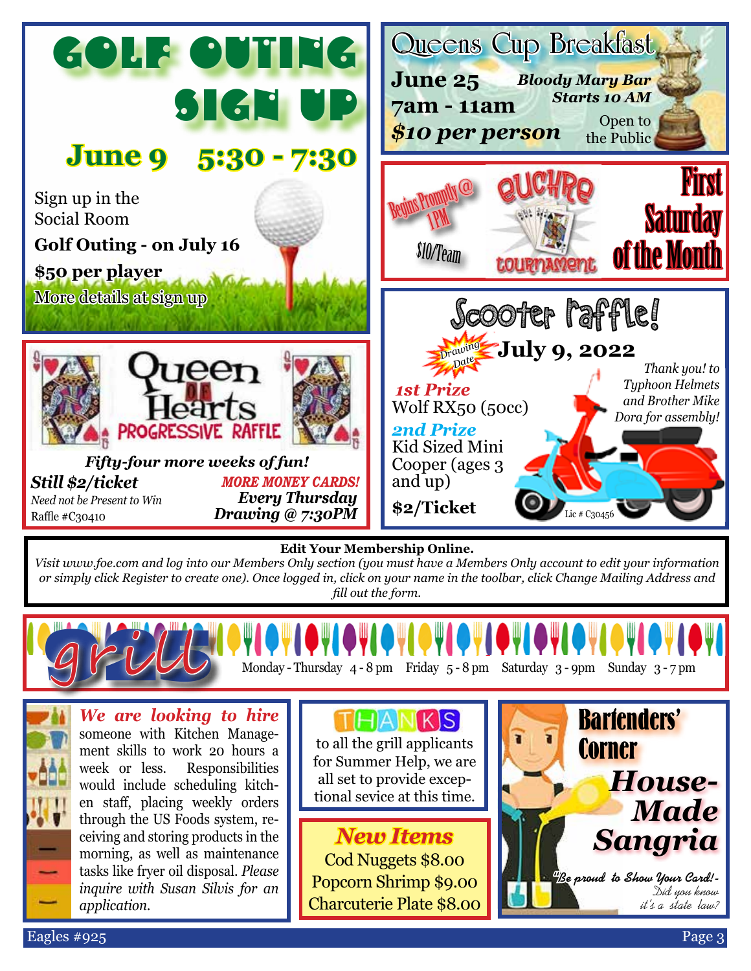

#### **Edit Your Membership Online.**

*Visit www.foe.com and log into our Members Only section (you must have a Members Only account to edit your information or simply click Register to create one). Once logged in, click on your name in the toolbar, click Change Mailing Address and fill out the form.*



*We are looking to hire* someone with Kitchen Management skills to work 20 hours a week or less. Responsibilities would include scheduling kitchen staff, placing weekly orders through the US Foods system, receiving and storing products in the morning, as well as maintenance tasks like fryer oil disposal. *Please inquire with Susan Silvis for an* 

TIHIAINIKISI

to all the grill applicants for Summer Help, we are all set to provide exceptional sevice at this time.

*New Items* Cod Nuggets \$8.00 Popcorn Shrimp \$9.00 Charcuterie Plate \$8.00



*application.*